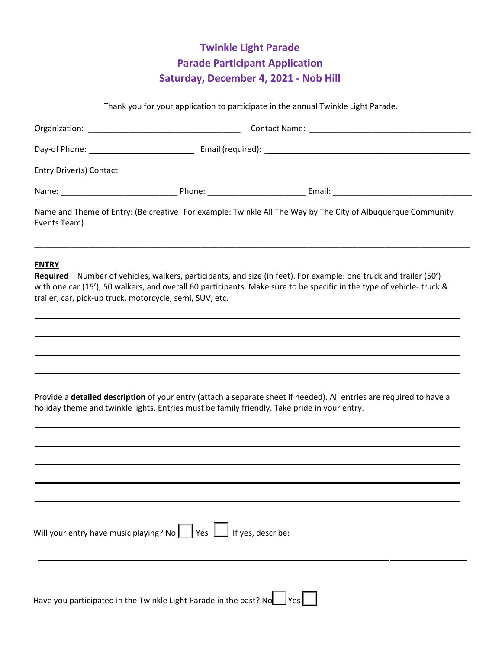# **Twinkle Light Parade Parade Participant Application Saturday, December 4, 2021 - Nob Hill**

Thank you for your application to participate in the annual Twinkle Light Parade.

| Entry Driver(s) Contact |                                            |                                                                                                                                                                                                                                      |  |
|-------------------------|--------------------------------------------|--------------------------------------------------------------------------------------------------------------------------------------------------------------------------------------------------------------------------------------|--|
|                         | Phone: National Phone State Communications | Email: <u>Denomination of the series of the series of the series of the series of the series of the series of the series of the series of the series of the series of the series of the series of the series of the series of th</u> |  |
| Events Team)            |                                            | Name and Theme of Entry: (Be creative! For example: Twinkle All The Way by The City of Albuquerque Community                                                                                                                         |  |

\_\_\_\_\_\_\_\_\_\_\_\_\_\_\_\_\_\_\_\_\_\_\_\_\_\_\_\_\_\_\_\_\_\_\_\_\_\_\_\_\_\_\_\_\_\_\_\_\_\_\_\_\_\_\_\_\_\_\_\_\_\_\_\_\_\_\_\_\_\_\_\_\_\_\_\_\_\_\_\_\_\_\_\_\_\_\_\_\_\_\_\_\_\_\_\_\_

#### **ENTRY**

**Required** – Number of vehicles, walkers, participants, and size (in feet). For example: one truck and trailer (50') with one car (15'), 50 walkers, and overall 60 participants. Make sure to be specific in the type of vehicle- truck & trailer, car, pick-up truck, motorcycle, semi, SUV, etc.

Provide a **detailed description** of your entry (attach a separate sheet if needed). All entries are required to have a holiday theme and twinkle lights. Entries must be family friendly. Take pride in your entry.

| Will your entry have music playing? No $\Box$ Yes $\Box$ If yes, describe:          |
|-------------------------------------------------------------------------------------|
| Have you participated in the Twinkle Light Parade in the past? No $\Box$ Yes $\Box$ |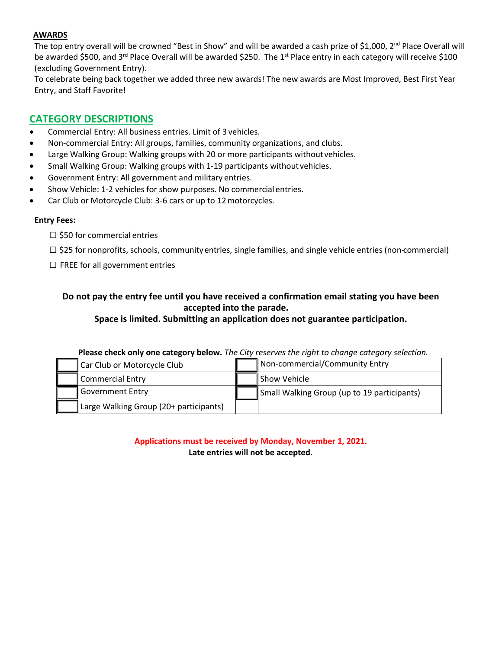### **AWARDS**

The top entry overall will be crowned "Best in Show" and will be awarded a cash prize of \$1,000, 2<sup>nd</sup> Place Overall will be awarded \$500, and 3<sup>rd</sup> Place Overall will be awarded \$250. The 1<sup>st</sup> Place entry in each category will receive \$100 (excluding Government Entry).

To celebrate being back together we added three new awards! The new awards are Most Improved, Best First Year Entry, and Staff Favorite!

## **CATEGORY DESCRIPTIONS**

- Commercial Entry: All business entries. Limit of 3 vehicles.
- Non-commercial Entry: All groups, families, community organizations, and clubs.
- Large Walking Group: Walking groups with 20 or more participants without vehicles.
- Small Walking Group: Walking groups with 1-19 participants without vehicles.
- Government Entry: All government and military entries.
- Show Vehicle: 1-2 vehicles for show purposes. No commercial entries.
- Car Club or Motorcycle Club: 3-6 cars or up to 12motorcycles.

#### **Entry Fees:**

- $\square$  \$50 for commercial entries
- □ \$25 for nonprofits, schools, communityentries, single families, and single vehicle entries (non-commercial)
- $\square$  FREE for all government entries

## **Do not pay the entry fee until you have received a confirmation email stating you have been accepted into the parade.**

**Space is limited. Submitting an application does not guarantee participation.** 

| <b>Thease check only one category service</b> the city reserves the hight to change category selection. |  |                                             |  |  |
|---------------------------------------------------------------------------------------------------------|--|---------------------------------------------|--|--|
| Car Club or Motorcycle Club                                                                             |  | Non-commercial/Community Entry              |  |  |
| Commercial Entry                                                                                        |  | <b>Show Vehicle</b>                         |  |  |
| <b>Government Entry</b>                                                                                 |  | Small Walking Group (up to 19 participants) |  |  |
| Large Walking Group (20+ participants)                                                                  |  |                                             |  |  |

**Please check only one category below.** *The City reserves the right to change category selection.*

**Applications must be received by Monday, November 1, 2021. Late entries will not be accepted.**